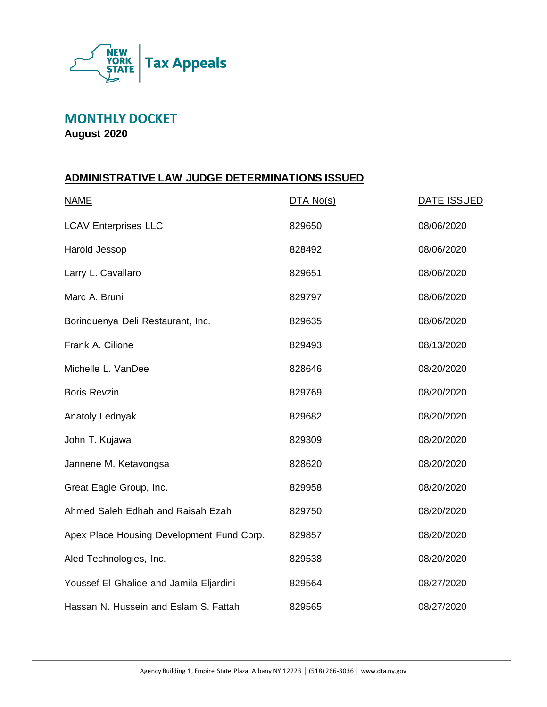

**MONTHLY DOCKET**

**August 2020**

#### **ADMINISTRATIVE LAW JUDGE DETERMINATIONS ISSUED**

| <b>NAME</b>                               | DTA No(s) | <b>DATE ISSUED</b> |
|-------------------------------------------|-----------|--------------------|
| <b>LCAV Enterprises LLC</b>               | 829650    | 08/06/2020         |
| Harold Jessop                             | 828492    | 08/06/2020         |
| Larry L. Cavallaro                        | 829651    | 08/06/2020         |
| Marc A. Bruni                             | 829797    | 08/06/2020         |
| Borinquenya Deli Restaurant, Inc.         | 829635    | 08/06/2020         |
| Frank A. Cilione                          | 829493    | 08/13/2020         |
| Michelle L. VanDee                        | 828646    | 08/20/2020         |
| <b>Boris Revzin</b>                       | 829769    | 08/20/2020         |
| Anatoly Lednyak                           | 829682    | 08/20/2020         |
| John T. Kujawa                            | 829309    | 08/20/2020         |
| Jannene M. Ketavongsa                     | 828620    | 08/20/2020         |
| Great Eagle Group, Inc.                   | 829958    | 08/20/2020         |
| Ahmed Saleh Edhah and Raisah Ezah         | 829750    | 08/20/2020         |
| Apex Place Housing Development Fund Corp. | 829857    | 08/20/2020         |
| Aled Technologies, Inc.                   | 829538    | 08/20/2020         |
| Youssef El Ghalide and Jamila Eljardini   | 829564    | 08/27/2020         |
| Hassan N. Hussein and Eslam S. Fattah     | 829565    | 08/27/2020         |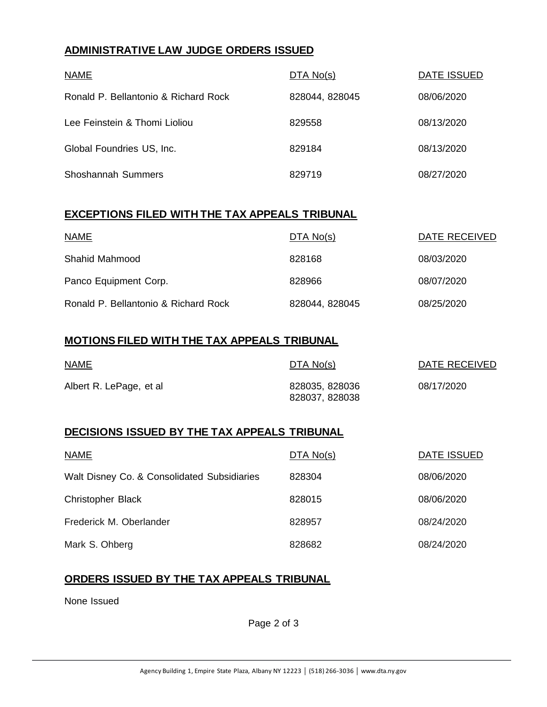### **ADMINISTRATIVE LAW JUDGE ORDERS ISSUED**

| <b>NAME</b>                          | DTA No(s)      | DATE ISSUED |
|--------------------------------------|----------------|-------------|
| Ronald P. Bellantonio & Richard Rock | 828044, 828045 | 08/06/2020  |
| Lee Feinstein & Thomi Lioliou        | 829558         | 08/13/2020  |
| Global Foundries US, Inc.            | 829184         | 08/13/2020  |
| <b>Shoshannah Summers</b>            | 829719         | 08/27/2020  |

#### **EXCEPTIONS FILED WITH THE TAX APPEALS TRIBUNAL**

| <b>NAME</b>                          | DTA No(s)      | DATE RECEIVED |
|--------------------------------------|----------------|---------------|
| Shahid Mahmood                       | 828168         | 08/03/2020    |
| Panco Equipment Corp.                | 828966         | 08/07/2020    |
| Ronald P. Bellantonio & Richard Rock | 828044, 828045 | 08/25/2020    |

#### **MOTIONS FILED WITH THE TAX APPEALS TRIBUNAL**

| <b>NAME</b>             | DTA No(s)                        | DATE RECEIVED |
|-------------------------|----------------------------------|---------------|
| Albert R. LePage, et al | 828035, 828036<br>828037, 828038 | 08/17/2020    |

## **DECISIONS ISSUED BY THE TAX APPEALS TRIBUNAL**

| <b>NAME</b>                                 | DTA No(s) | DATE ISSUED |
|---------------------------------------------|-----------|-------------|
| Walt Disney Co. & Consolidated Subsidiaries | 828304    | 08/06/2020  |
| <b>Christopher Black</b>                    | 828015    | 08/06/2020  |
| Frederick M. Oberlander                     | 828957    | 08/24/2020  |
| Mark S. Ohberg                              | 828682    | 08/24/2020  |

#### **ORDERS ISSUED BY THE TAX APPEALS TRIBUNAL**

None Issued

Page 2 of 3